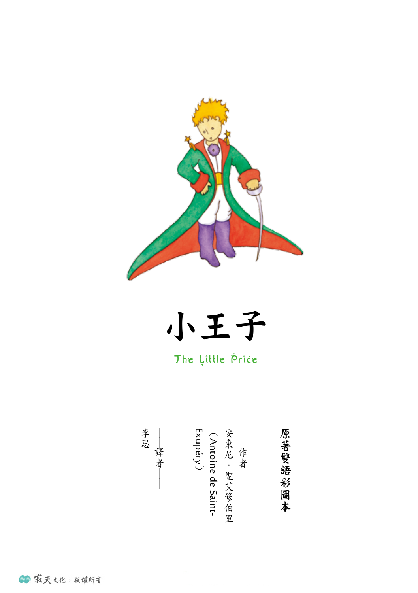

小王子

The Little Price

李思 安東尼·聖艾修伯里——作者—— 原著雙語彩圖本 ──── ︵ Exupéry.<br>第222章 . 原著雙語彩圖本 Antoine de Saint- $\frac{1}{4}$ 譯者 ── ──

16 寂天文化,版權所有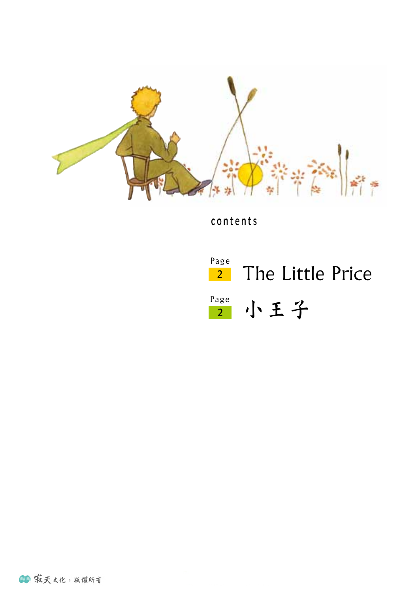

contents

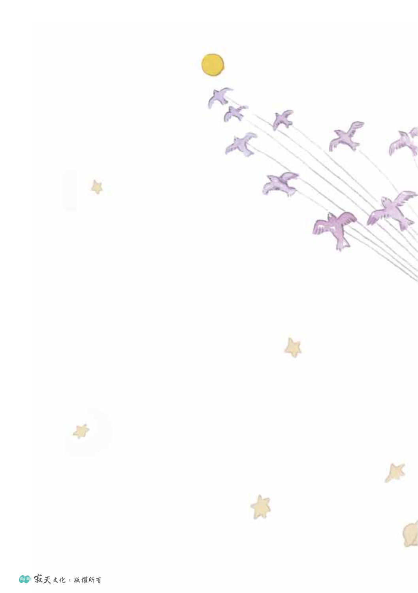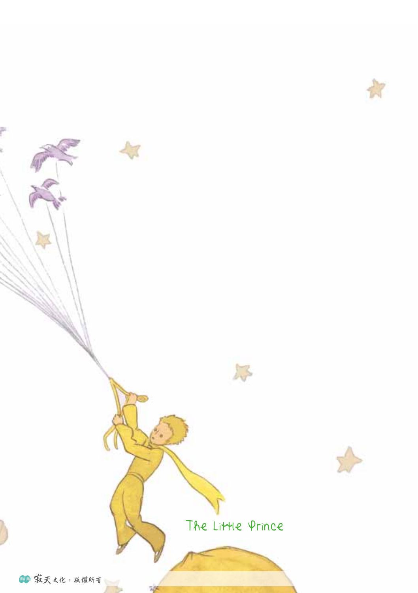



The Little Prince

尽



7Ø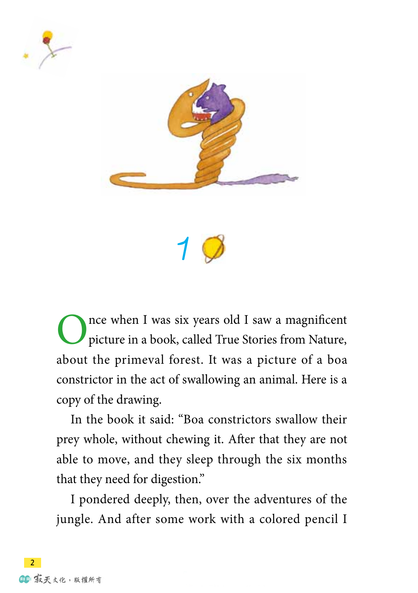



## 1

Once when I was six years old I saw a magnificent picture in a book, called True Stories from Nature, picture in a book, called True Stories from Nature, about the primeval forest. It was a picture of a boa constrictor in the act of swallowing an animal. Here is a copy of the drawing.

In the book it said: "Boa constrictors swallow their prey whole, without chewing it. After that they are not able to move, and they sleep through the six months that they need for digestion."

I pondered deeply, then, over the adventures of the jungle. And after some work with a colored pencil I

**2**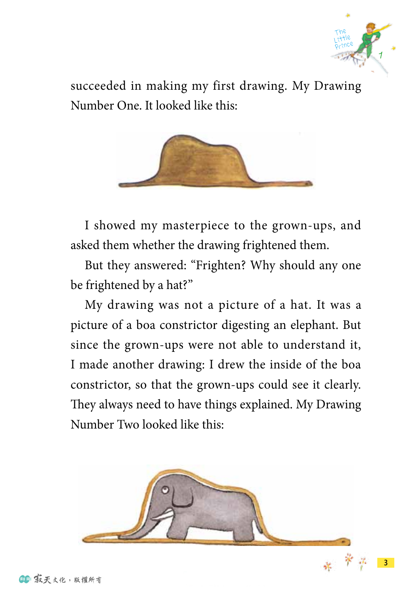

**3**

succeeded in making my first drawing. My Drawing Number One. It looked like this:



I showed my masterpiece to the grown-ups, and asked them whether the drawing frightened them.

But they answered: "Frighten? Why should any one be frightened by a hat?"

My drawing was not a picture of a hat. It was a picture of a boa constrictor digesting an elephant. But since the grown-ups were not able to understand it, I made another drawing: I drew the inside of the boa constrictor, so that the grown-ups could see it clearly. They always need to have things explained. My Drawing Number Two looked like this:

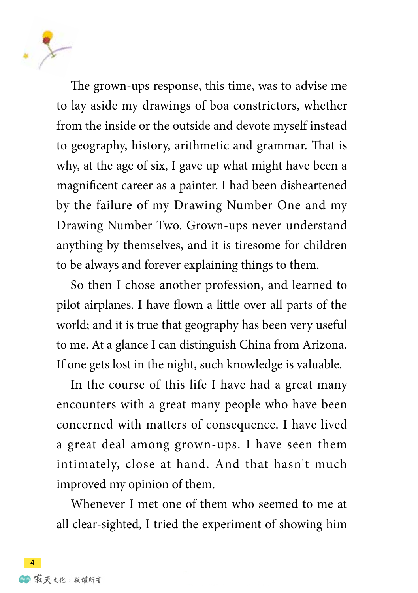

The grown-ups response, this time, was to advise me to lay aside my drawings of boa constrictors, whether from the inside or the outside and devote myself instead to geography, history, arithmetic and grammar. That is why, at the age of six, I gave up what might have been a magnificent career as a painter. I had been disheartened by the failure of my Drawing Number One and my Drawing Number Two. Grown-ups never understand anything by themselves, and it is tiresome for children to be always and forever explaining things to them.

So then I chose another profession, and learned to pilot airplanes. I have flown a little over all parts of the world; and it is true that geography has been very useful to me. At a glance I can distinguish China from Arizona. If one gets lost in the night, such knowledge is valuable.

In the course of this life I have had a great many encounters with a great many people who have been concerned with matters of consequence. I have lived a great deal among grown-ups. I have seen them intimately, close at hand. And that hasn't much improved my opinion of them.

Whenever I met one of them who seemed to me at all clear-sighted, I tried the experiment of showing him

**4**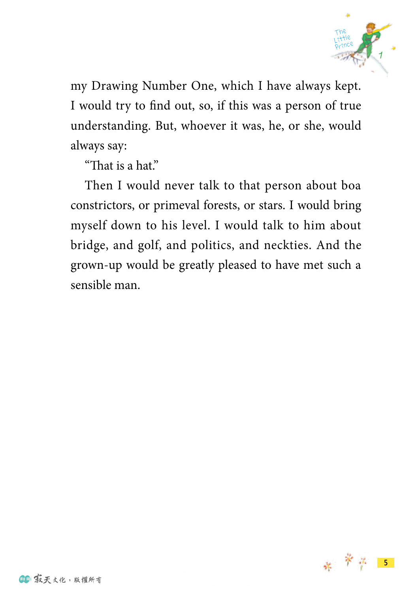

my Drawing Number One, which I have always kept. I would try to find out, so, if this was a person of true understanding. But, whoever it was, he, or she, would always say:

"That is a hat."

Then I would never talk to that person about boa constrictors, or primeval forests, or stars. I would bring myself down to his level. I would talk to him about bridge, and golf, and politics, and neckties. And the grown-up would be greatly pleased to have met such a sensible man.

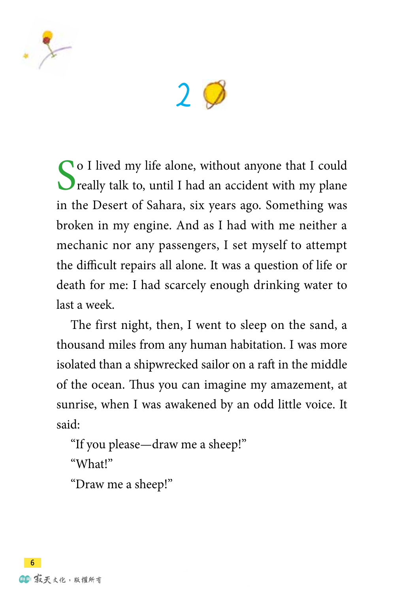

 $2<sub>0</sub>$ 

So I lived my life alone, without anyone that I could<br>really talk to, until I had an accident with my plane really talk to, until I had an accident with my plane in the Desert of Sahara, six years ago. Something was broken in my engine. And as I had with me neither a mechanic nor any passengers, I set myself to attempt the difficult repairs all alone. It was a question of life or death for me: I had scarcely enough drinking water to last a week.

The first night, then, I went to sleep on the sand, a thousand miles from any human habitation. I was more isolated than a shipwrecked sailor on a raft in the middle of the ocean. Thus you can imagine my amazement, at sunrise, when I was awakened by an odd little voice. It said:

"If you please—draw me a sheep!"

"What!"

"Draw me a sheep!"

**6**